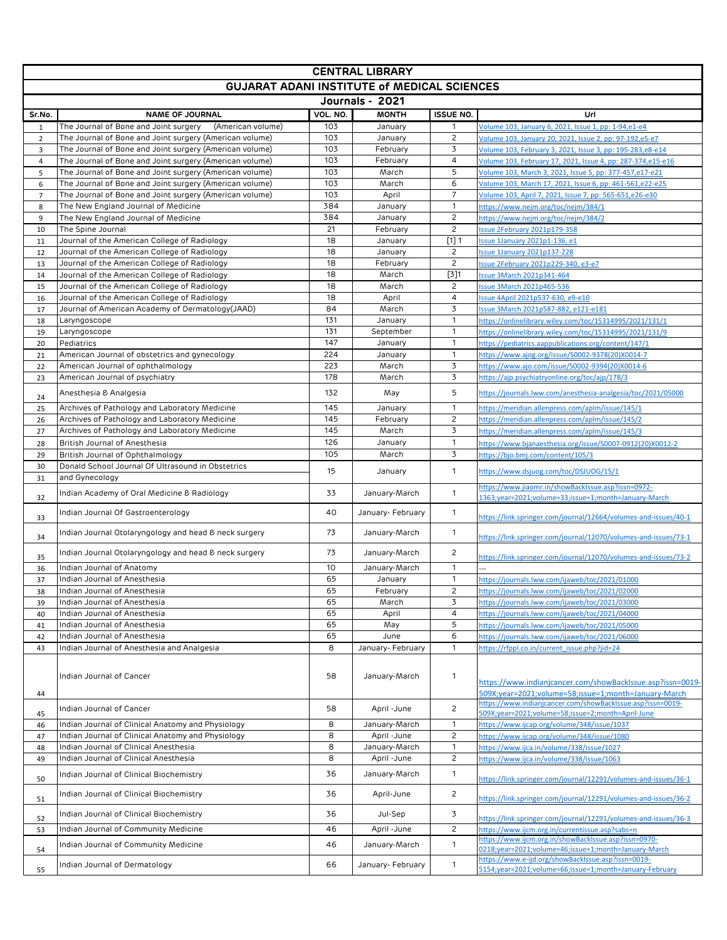| <b>CENTRAL LIBRARY</b>                             |                                                                                                                    |            |                      |                           |                                                                                                                          |  |  |  |  |  |
|----------------------------------------------------|--------------------------------------------------------------------------------------------------------------------|------------|----------------------|---------------------------|--------------------------------------------------------------------------------------------------------------------------|--|--|--|--|--|
| <b>GUJARAT ADANI INSTITUTE of MEDICAL SCIENCES</b> |                                                                                                                    |            |                      |                           |                                                                                                                          |  |  |  |  |  |
| Journals - 2021                                    |                                                                                                                    |            |                      |                           |                                                                                                                          |  |  |  |  |  |
| Sr.No.                                             | <b>NAME OF JOURNAL</b>                                                                                             | VOL. NO.   | <b>MONTH</b>         | <b>ISSUE NO.</b>          | Url                                                                                                                      |  |  |  |  |  |
| $\mathbf{1}$                                       | The Journal of Bone and Joint surgery<br>(American volume)                                                         | 103        | January              | $\mathbf{1}$              | Volume 103, January 6, 2021, Issue 1, pp: 1-94, e1-e4                                                                    |  |  |  |  |  |
| $\overline{2}$                                     | The Journal of Bone and Joint surgery (American volume)                                                            | 103        | January              | $\overline{c}$<br>3       | Volume 103, January 20, 2021, Issue 2, pp: 97-192,e5-e7                                                                  |  |  |  |  |  |
| 3<br>$\overline{4}$                                | The Journal of Bone and Joint surgery (American volume)<br>The Journal of Bone and Joint surgery (American volume) | 103<br>103 | February<br>February | $\overline{4}$            | Volume 103, February 3, 2021, Issue 3, pp: 195-283,e8-e14<br>Volume 103, February 17, 2021, Issue 4, pp: 287-374,e15-e16 |  |  |  |  |  |
| 5                                                  | The Journal of Bone and Joint surgery (American volume)                                                            | 103        | March                | 5                         | Volume 103, March 3, 2021, Issue 5, pp: 377-457,e17-e21                                                                  |  |  |  |  |  |
| 6                                                  | The Journal of Bone and Joint surgery (American volume)                                                            | 103        | March                | 6                         | Volume 103, March 17, 2021, Issue 6, pp: 461-561,e22-e25                                                                 |  |  |  |  |  |
| $\overline{7}$                                     | The Journal of Bone and Joint surgery (American volume)                                                            | 103        | April                | $\overline{7}$            | Volume 103, April 7, 2021, Issue 7, pp: 565-651,e26-e30                                                                  |  |  |  |  |  |
| 8                                                  | The New England Journal of Medicine                                                                                | 384        | January              | 1                         | https://www.nejm.org/toc/nejm/384/1                                                                                      |  |  |  |  |  |
| 9                                                  | The New England Journal of Medicine                                                                                | 384        | January              | $\overline{c}$            | https://www.nejm.org/toc/nejm/384/2                                                                                      |  |  |  |  |  |
| 10                                                 | The Spine Journal                                                                                                  | 21         | February             | $\overline{c}$            | Issue 2February 2021p179-358                                                                                             |  |  |  |  |  |
| 11                                                 | Journal of the American College of Radiology<br>Journal of the American College of Radiology                       | 18<br>18   | January<br>January   | $[1]$ 1<br>$\overline{c}$ | Issue 1January 2021p1-136, e1<br><b>Issue 1January 2021p137-228</b>                                                      |  |  |  |  |  |
| 12<br>13                                           | Journal of the American College of Radiology                                                                       | 18         | February             | $\overline{c}$            | Issue 2February 2021p229-340, e3-e7                                                                                      |  |  |  |  |  |
| 14                                                 | Journal of the American College of Radiology                                                                       | 18         | March                | $\boxed{3}$               | ssue 3March 2021p341-464                                                                                                 |  |  |  |  |  |
| 15                                                 | Journal of the American College of Radiology                                                                       | 18         | March                | $\overline{c}$            | <b>Issue 3March 2021p465-536</b>                                                                                         |  |  |  |  |  |
| 16                                                 | Journal of the American College of Radiology                                                                       | 18         | April                | $\overline{\mathbf{4}}$   | Issue 4April 2021p537-630, e9-e10                                                                                        |  |  |  |  |  |
| 17                                                 | Journal of American Academy of Dermatology(JAAD)                                                                   | 84         | March                | 3                         | Issue 3March 2021p587-882, e121-e181                                                                                     |  |  |  |  |  |
| 18                                                 | Laryngoscope                                                                                                       | 131        | January              | 1                         | https://onlinelibrary.wiley.com/toc/15314995/2021/131/1                                                                  |  |  |  |  |  |
| 19                                                 | Laryngoscope                                                                                                       | 131        | September            | $\mathbf{1}$              | https://onlinelibrary.wiley.com/toc/15314995/2021/131/9                                                                  |  |  |  |  |  |
| 20                                                 | Pediatrics                                                                                                         | 147        | January              | $\mathbf{1}$              | https://pediatrics.aappublications.org/content/147/1                                                                     |  |  |  |  |  |
| 21                                                 | American Journal of obstetrics and gynecology<br>American Journal of ophthalmology                                 | 224<br>223 | January<br>March     | $\mathbf{1}$<br>3         | https://www.ajog.org/issue/S0002-9378(20)X0014-7<br>https://www.ajo.com/issue/S0002-9394(20)X0014-6                      |  |  |  |  |  |
| 22<br>23                                           | American Journal of psychiatry                                                                                     | 178        | March                | 3                         | https://ajp.psychiatryonline.org/toc/ajp/178/3                                                                           |  |  |  |  |  |
|                                                    |                                                                                                                    |            |                      | 5                         |                                                                                                                          |  |  |  |  |  |
| 24                                                 | Anesthesia & Analgesia                                                                                             | 132        | May                  |                           | https://journals.lww.com/anesthesia-analgesia/toc/2021/05000                                                             |  |  |  |  |  |
| 25                                                 | Archives of Pathology and Laboratory Medicine                                                                      | 145        | January              | $\mathbf{1}$              | https://meridian.allenpress.com/aplm/issue/145/1                                                                         |  |  |  |  |  |
| 26                                                 | Archives of Pathology and Laboratory Medicine                                                                      | 145        | February             | $\overline{c}$<br>3       | https://meridian.allenpress.com/aplm/issue/145/2                                                                         |  |  |  |  |  |
| 27                                                 | Archives of Pathology and Laboratory Medicine<br>British Journal of Anesthesia                                     | 145<br>126 | March<br>January     | $\mathbf{1}$              | https://meridian.allenpress.com/aplm/issue/145/3                                                                         |  |  |  |  |  |
| 28<br>29                                           | British Journal of Ophthalmology                                                                                   | 105        | March                | 3                         | https://www.bjanaesthesia.org/issue/S0007-0912(20)X0012-2<br>https://bjo.bmj.com/content/105/3                           |  |  |  |  |  |
| 30                                                 | Donald School Journal Of Ultrasound in Obstetrics                                                                  |            |                      |                           |                                                                                                                          |  |  |  |  |  |
| 31                                                 | and Gynecology                                                                                                     | 15         | January              | $\mathbf{1}$              | https://www.dsjuog.com/toc/DSJUOG/15/1                                                                                   |  |  |  |  |  |
| 32                                                 | Indian Academy of Oral Medicine & Radiology                                                                        | 33         | January-March        | $\mathbf{1}$              | https://www.jiaomr.in/showBackIssue.asp?issn=0972-<br>1363;year=2021;volume=33;issue=1;month=January-March               |  |  |  |  |  |
| 33                                                 | Indian Journal Of Gastroenterology                                                                                 | 40         | January- February    | $\mathbf{1}$              | https://link.springer.com/journal/12664/volumes-and-issues/40-1                                                          |  |  |  |  |  |
|                                                    | Indian Journal Otolaryngology and head & neck surgery                                                              | 73         | January-March        | $\mathbf{1}$              |                                                                                                                          |  |  |  |  |  |
| 34                                                 | Indian Journal Otolaryngology and head & neck surgery                                                              | 73         | January-March        | $\overline{c}$            | https://link.springer.com/journal/12070/volumes-and-issues/73-1                                                          |  |  |  |  |  |
| 35                                                 | Indian Journal of Anatomy                                                                                          | 10         | January-March        | $\mathbf{1}$              | https://link.springer.com/journal/12070/volumes-and-issues/73-2                                                          |  |  |  |  |  |
| 36<br>37                                           | Indian Journal of Anesthesia                                                                                       | 65         | January              | $\mathbf{1}$              | https://journals.lww.com/ijaweb/toc/2021/01000                                                                           |  |  |  |  |  |
| 38                                                 | Indian Journal of Anesthesia                                                                                       | 65         | February             | $\overline{c}$            | https://journals.lww.com/ijaweb/toc/2021/02000                                                                           |  |  |  |  |  |
| 39                                                 | Indian Journal of Anesthesia                                                                                       | 65         | March                | 3                         | https://journals.lww.com/ijaweb/toc/2021/03000                                                                           |  |  |  |  |  |
| 40                                                 | Indian Journal of Anesthesia                                                                                       | 65         | April                | 4                         | https://journals.lww.com/ijaweb/toc/2021/04000                                                                           |  |  |  |  |  |
| 41                                                 | Indian Journal of Anesthesia                                                                                       | 65         | May                  | 5                         | https://journals.lww.com/ijaweb/toc/2021/05000                                                                           |  |  |  |  |  |
| 42                                                 | Indian Journal of Anesthesia                                                                                       | 65         | June                 | 6                         | https://journals.lww.com/ijaweb/toc/2021/06000                                                                           |  |  |  |  |  |
| 43                                                 | Indian Journal of Anesthesia and Analgesia                                                                         | 8          | January- February    | 1                         | https://rfppl.co.in/current_issue.php?jid=24                                                                             |  |  |  |  |  |
| 44                                                 | Indian Journal of Cancer                                                                                           | 58         | January-March        | $\mathbf{1}$              | https://www.indianjcancer.com/showBackIssue.asp?issn=0019-<br>509X;year=2021;volume=58;issue=1;month=January-March       |  |  |  |  |  |
|                                                    | Indian Journal of Cancer                                                                                           | 58         | April -June          | $\overline{c}$            | https://www.indianjcancer.com/showBackIssue.asp?issn=0019-                                                               |  |  |  |  |  |
| 45<br>46                                           | Indian Journal of Clinical Anatomy and Physiology                                                                  | 8          | January-March        | 1                         | 509X;year=2021;volume=58;issue=2;month=April-June<br>https://www.ijcap.org/volume/348/issue/1037                         |  |  |  |  |  |
| 47                                                 | Indian Journal of Clinical Anatomy and Physiology                                                                  | 8          | April -June          | $\overline{c}$            | https://www.ijcap.org/volume/348/issue/1080                                                                              |  |  |  |  |  |
| 48                                                 | Indian Journal of Clinical Anesthesia                                                                              | 8          | January-March        | 1                         | https://www.ijca.in/volume/338/issue/1027                                                                                |  |  |  |  |  |
| 49                                                 | Indian Journal of Clinical Anesthesia                                                                              | 8          | April -June          | $\overline{c}$            | https://www.ijca.in/volume/338/issue/1063                                                                                |  |  |  |  |  |
| 50                                                 | Indian Journal of Clinical Biochemistry                                                                            | 36         | January-March        | $\mathbf{1}$              | https://link.springer.com/journal/12291/volumes-and-issues/36-1                                                          |  |  |  |  |  |
| 51                                                 | Indian Journal of Clinical Biochemistry                                                                            | 36         | April-June           | $\overline{c}$            | https://link.springer.com/journal/12291/volumes-and-issues/36-2                                                          |  |  |  |  |  |
| 52                                                 | Indian Journal of Clinical Biochemistry                                                                            | 36         | Jul-Sep              | 3                         | https://link.springer.com/journal/12291/volumes-and-issues/36-3                                                          |  |  |  |  |  |
| 53                                                 | Indian Journal of Community Medicine                                                                               | 46         | April -June          | $\overline{c}$            | https://www.ijcm.org.in/currentissue.asp?sabs=n                                                                          |  |  |  |  |  |
| 54                                                 | Indian Journal of Community Medicine                                                                               | 46         | January-March        | $\mathbf{1}$              | https://www.ijcm.org.in/showBackIssue.asp?issn=0970-<br>0218;year=2021;volume=46;issue=1;month=January-March             |  |  |  |  |  |
| 55                                                 | Indian Journal of Dermatology                                                                                      | 66         | January- February    | $\mathbf{1}$              | https://www.e-ijd.org/showBackIssue.asp?issn=0019-<br>5154;year=2021;volume=66;issue=1;month=January-February            |  |  |  |  |  |